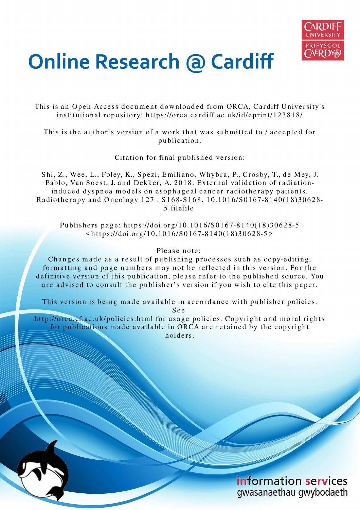

## **Online Research @ Cardiff**

This is an Open Access document downloaded from ORCA, Cardiff University's institutional repository: https://orca.cardiff.ac.uk/id/eprint/123818/

This is the author's version of a work that was submitted to / accepted for p u blication.

Citation for final published version:

Shi, Z., Wee, L., Foley, K., Spezi, Emiliano, Whybra, P., Crosby, T., de Mey, J. Pablo, Van Soest, J. and Dekker, A. 2018. External validation of radiationinduced dyspnea models on esophageal cancer radiotherapy patients. Radiotherapy and Oncology 127, S168-S168. 10.1016/S0167-8140(18)30628-5 filefile

Publishers page: https://doi.org/10.1016/S0167-8140(18)30628-5  $\langle$ https://doi.org/10.1016/S0167-8140(18)30628-5>

## Please note:

Changes made as a result of publishing processes such as copy-editing, formatting and page numbers may not be reflected in this version. For the definitive version of this publication, please refer to the published source. You are advised to consult the publisher's version if you wish to cite this paper.

This version is being made available in accordance with publisher policies.

S e e

http://orca.cf.ac.uk/policies.html for usage policies. Copyright and moral rights for publications made available in ORCA are retained by the copyright holders.

> information services gwasanaethau gwybodaeth